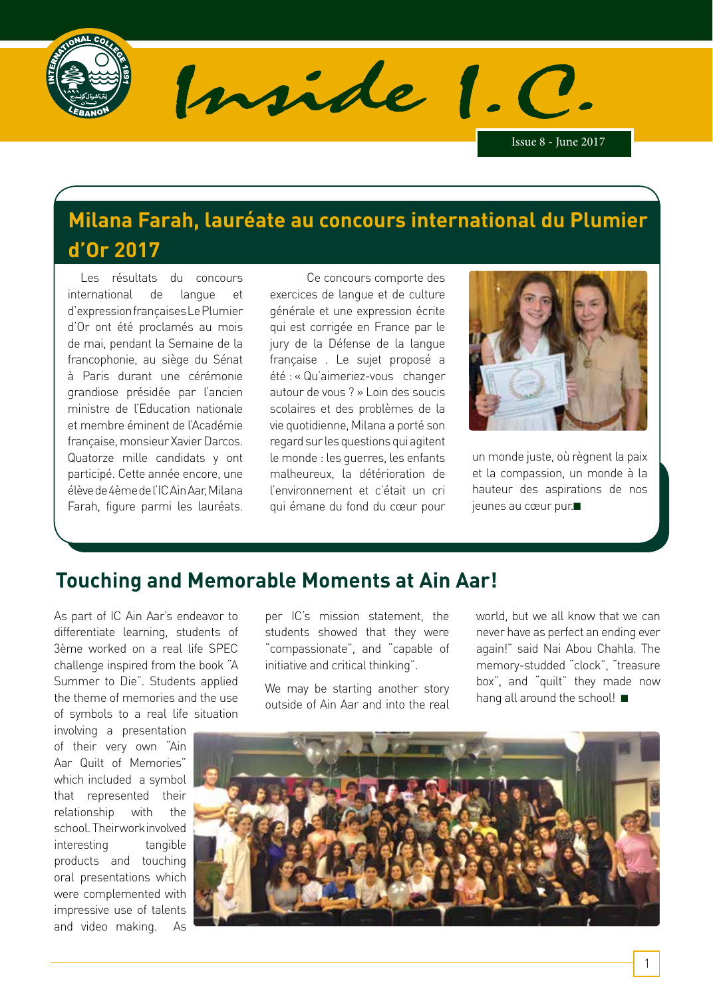

Inside 1. C.

Issue 8 - June 2017

# **Milana Farah, lauréate au concours international du Plumier d'Or 2017**

 Les résultats du concours international de langue et d'expression françaises Le Plumier d'Or ont été proclamés au mois de mai, pendant la Semaine de la francophonie, au siège du Sénat à Paris durant une cérémonie grandiose présidée par l'ancien ministre de l'Education nationale et membre éminent de l'Académie française, monsieur Xavier Darcos. Quatorze mille candidats y ont participé. Cette année encore, une élève de 4ème de l'IC Ain Aar, Milana Farah, figure parmi les lauréats.

 Ce concours comporte des exercices de langue et de culture générale et une expression écrite qui est corrigée en France par le jury de la Défense de la langue française . Le sujet proposé a été : « Qu'aimeriez-vous changer autour de vous ? » Loin des soucis scolaires et des problèmes de la vie quotidienne, Milana a porté son regard sur les questions qui agitent le monde : les guerres, les enfants malheureux, la détérioration de l'environnement et c'était un cri qui émane du fond du cœur pour



un monde juste, où règnent la paix et la compassion, un monde à la hauteur des aspirations de nos jeunes au cœur pur.■

## **Touching and Memorable Moments at Ain Aar!**

As part of IC Ain Aar's endeavor to differentiate learning, students of 3ème worked on a real life SPEC challenge inspired from the book "A Summer to Die". Students applied the theme of memories and the use of symbols to a real life situation

involving a presentation of their very own "Ain Aar Quilt of Memories" which included a symbol that represented their relationship with the school. Their work involved interesting tangible products and touching oral presentations which were complemented with impressive use of talents and video making. As

per IC's mission statement, the students showed that they were "compassionate", and "capable of initiative and critical thinking".

We may be starting another story outside of Ain Aar and into the real world, but we all know that we can never have as perfect an ending ever again!" said Nai Abou Chahla. The memory-studded "clock", "treasure box", and "quilt" they made now hang all around the school! ■

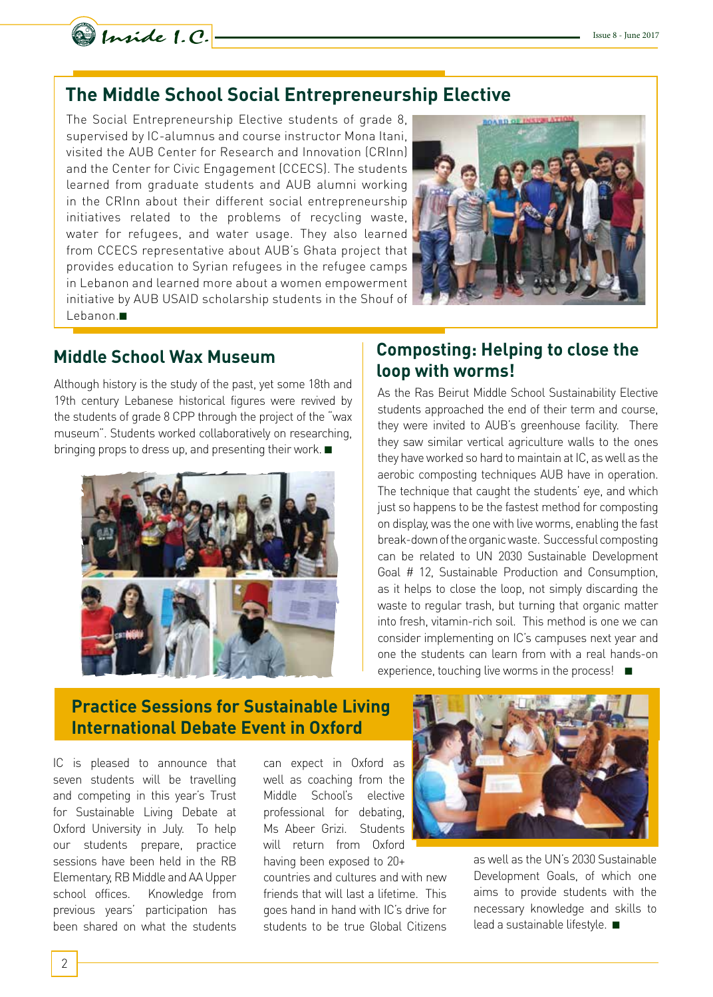

### **The Middle School Social Entrepreneurship Elective**

The Social Entrepreneurship Elective students of grade 8, supervised by IC-alumnus and course instructor Mona Itani, visited the AUB Center for Research and Innovation (CRInn) and the Center for Civic Engagement (CCECS). The students learned from graduate students and AUB alumni working in the CRInn about their different social entrepreneurship initiatives related to the problems of recycling waste, water for refugees, and water usage. They also learned from CCECS representative about AUB's Ghata project that provides education to Syrian refugees in the refugee camps in Lebanon and learned more about a women empowerment initiative by AUB USAID scholarship students in the Shouf of Lebanon.■



Although history is the study of the past, yet some 18th and 19th century Lebanese historical figures were revived by the students of grade 8 CPP through the project of the "wax museum". Students worked collaboratively on researching, bringing props to dress up, and presenting their work. ■



### **Middle School Wax Museum Composting: Helping to close the loop with worms!**

As the Ras Beirut Middle School Sustainability Elective students approached the end of their term and course, they were invited to AUB's greenhouse facility. There they saw similar vertical agriculture walls to the ones they have worked so hard to maintain at IC, as well as the aerobic composting techniques AUB have in operation. The technique that caught the students' eye, and which just so happens to be the fastest method for composting on display, was the one with live worms, enabling the fast break-down of the organic waste. Successful composting can be related to UN 2030 Sustainable Development Goal # 12, Sustainable Production and Consumption, as it helps to close the loop, not simply discarding the waste to regular trash, but turning that organic matter into fresh, vitamin-rich soil. This method is one we can consider implementing on IC's campuses next year and one the students can learn from with a real hands-on experience, touching live worms in the process! ■

### **Practice Sessions for Sustainable Living International Debate Event in Oxford**

IC is pleased to announce that seven students will be travelling and competing in this year's Trust for Sustainable Living Debate at Oxford University in July. To help our students prepare, practice sessions have been held in the RB Elementary, RB Middle and AA Upper school offices. Knowledge from previous years' participation has been shared on what the students

can expect in Oxford as well as coaching from the Middle School's elective professional for debating, Ms Abeer Grizi. Students will return from Oxford having been exposed to 20+

countries and cultures and with new friends that will last a lifetime. This goes hand in hand with IC's drive for students to be true Global Citizens



as well as the UN's 2030 Sustainable Development Goals, of which one aims to provide students with the necessary knowledge and skills to lead a sustainable lifestyle. ■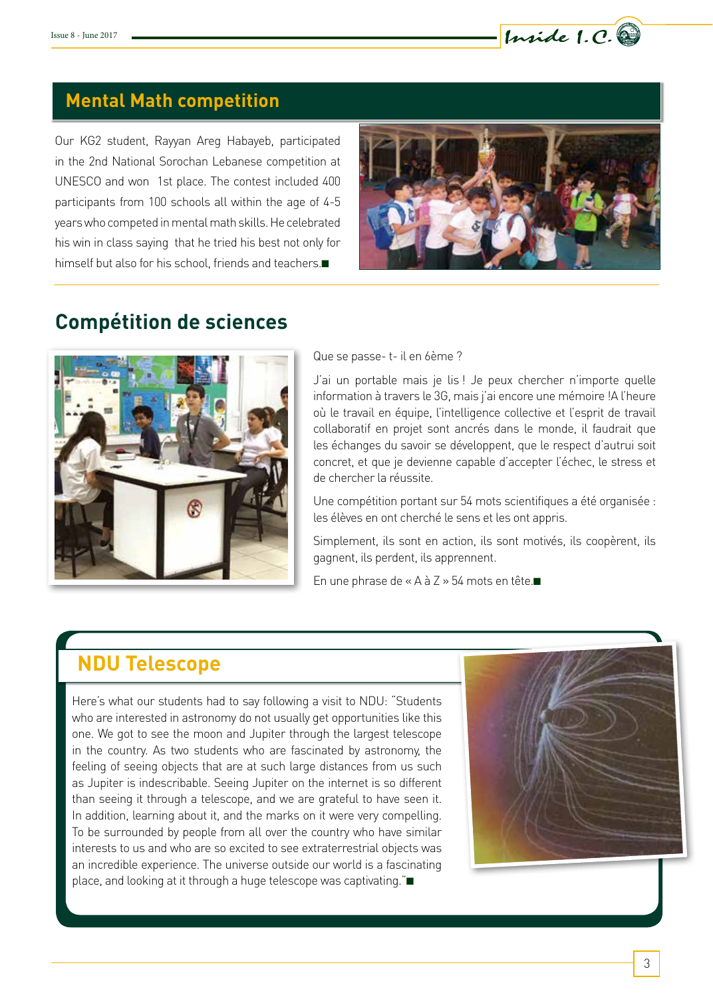

## **Mental Math competition**

Our KG2 student, Rayyan Areg Habayeb, participated in the 2nd National Sorochan Lebanese competition at UNESCO and won 1st place. The contest included 400 participants from 100 schools all within the age of 4-5 years who competed in mental math skills. He celebrated his win in class saying that he tried his best not only for himself but also for his school, friends and teachers.■



## **Compétition de sciences**



Que se passe- t- il en 6ème ?

J'ai un portable mais je lis ! Je peux chercher n'importe quelle information à travers le 3G, mais j'ai encore une mémoire !A l'heure où le travail en équipe, l'intelligence collective et l'esprit de travail collaboratif en projet sont ancrés dans le monde, il faudrait que les échanges du savoir se développent, que le respect d'autrui soit concret, et que je devienne capable d'accepter l'échec, le stress et de chercher la réussite.

Une compétition portant sur 54 mots scientifiques a été organisée : les élèves en ont cherché le sens et les ont appris.

Simplement, ils sont en action, ils sont motivés, ils coopèrent, ils gagnent, ils perdent, ils apprennent.

En une phrase de « A à Z » 54 mots en tête.■

# **NDU Telescope**

Here's what our students had to say following a visit to NDU: "Students who are interested in astronomy do not usually get opportunities like this one. We got to see the moon and Jupiter through the largest telescope in the country. As two students who are fascinated by astronomy, the feeling of seeing objects that are at such large distances from us such as Jupiter is indescribable. Seeing Jupiter on the internet is so different than seeing it through a telescope, and we are grateful to have seen it. In addition, learning about it, and the marks on it were very compelling. To be surrounded by people from all over the country who have similar interests to us and who are so excited to see extraterrestrial objects was an incredible experience. The universe outside our world is a fascinating place, and looking at it through a huge telescope was captivating."■

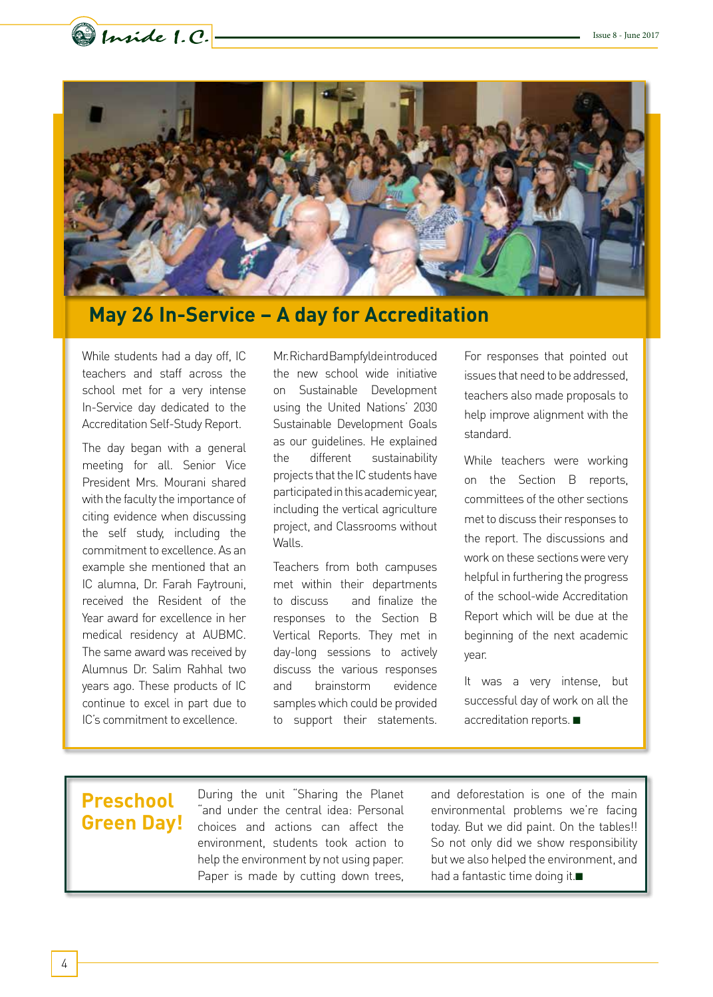



## **May 26 In-Service – A day for Accreditation**

While students had a day off, IC teachers and staff across the school met for a very intense In-Service day dedicated to the Accreditation Self-Study Report.

The day began with a general meeting for all. Senior Vice President Mrs. Mourani shared with the faculty the importance of citing evidence when discussing the self study, including the commitment to excellence. As an example she mentioned that an IC alumna, Dr. Farah Faytrouni, received the Resident of the Year award for excellence in her medical residency at AUBMC. The same award was received by Alumnus Dr. Salim Rahhal two years ago. These products of IC continue to excel in part due to IC's commitment to excellence.

Mr. Richard Bampfylde introduced the new school wide initiative on Sustainable Development using the United Nations' 2030 Sustainable Development Goals as our guidelines. He explained the different sustainability projects that the IC students have participated in this academic year, including the vertical agriculture project, and Classrooms without Walls.

Teachers from both campuses met within their departments to discuss and finalize the responses to the Section B Vertical Reports. They met in day-long sessions to actively discuss the various responses and brainstorm evidence samples which could be provided to support their statements. For responses that pointed out issues that need to be addressed, teachers also made proposals to help improve alignment with the standard.

While teachers were working on the Section B reports, committees of the other sections met to discuss their responses to the report. The discussions and work on these sections were very helpful in furthering the progress of the school-wide Accreditation Report which will be due at the beginning of the next academic year.

It was a very intense, but successful day of work on all the accreditation reports. ■

## **Preschool Green Day!**

During the unit "Sharing the Planet "and under the central idea: Personal choices and actions can affect the environment, students took action to help the environment by not using paper. Paper is made by cutting down trees, and deforestation is one of the main environmental problems we're facing today. But we did paint. On the tables!! So not only did we show responsibility but we also helped the environment, and had a fantastic time doing it.■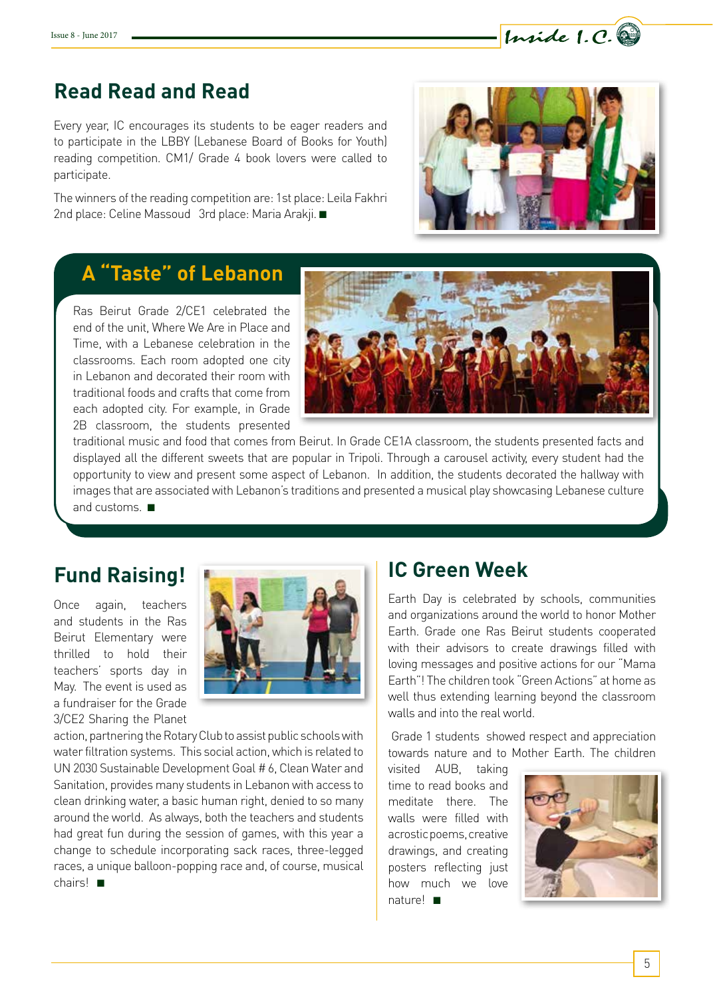## **Read Read and Read**

Every year, IC encourages its students to be eager readers and to participate in the LBBY (Lebanese Board of Books for Youth) reading competition. CM1/ Grade 4 book lovers were called to participate.

The winners of the reading competition are: 1st place: Leila Fakhri 2nd place: Celine Massoud 3rd place: Maria Arakji. ■



Inside 1.C.

## **A "Taste" of Lebanon**

Ras Beirut Grade 2/CE1 celebrated the end of the unit, Where We Are in Place and Time, with a Lebanese celebration in the classrooms. Each room adopted one city in Lebanon and decorated their room with traditional foods and crafts that come from each adopted city. For example, in Grade 2B classroom, the students presented



traditional music and food that comes from Beirut. In Grade CE1A classroom, the students presented facts and displayed all the different sweets that are popular in Tripoli. Through a carousel activity, every student had the opportunity to view and present some aspect of Lebanon. In addition, the students decorated the hallway with images that are associated with Lebanon's traditions and presented a musical play showcasing Lebanese culture and customs. ■

Once again, teachers and students in the Ras Beirut Elementary were thrilled to hold their teachers' sports day in May. The event is used as a fundraiser for the Grade 3/CE2 Sharing the Planet



action, partnering the Rotary Club to assist public schools with water filtration systems. This social action, which is related to UN 2030 Sustainable Development Goal # 6, Clean Water and Sanitation, provides many students in Lebanon with access to clean drinking water, a basic human right, denied to so many around the world. As always, both the teachers and students had great fun during the session of games, with this year a change to schedule incorporating sack races, three-legged races, a unique balloon-popping race and, of course, musical chairs! ■

Earth Day is celebrated by schools, communities and organizations around the world to honor Mother Earth. Grade one Ras Beirut students cooperated with their advisors to create drawings filled with loving messages and positive actions for our "Mama Earth"! The children took "Green Actions" at home as well thus extending learning beyond the classroom walls and into the real world.

 Grade 1 students showed respect and appreciation towards nature and to Mother Earth. The children

visited AUB, taking time to read books and meditate there. The walls were filled with acrostic poems, creative drawings, and creating posters reflecting just how much we love nature! ■

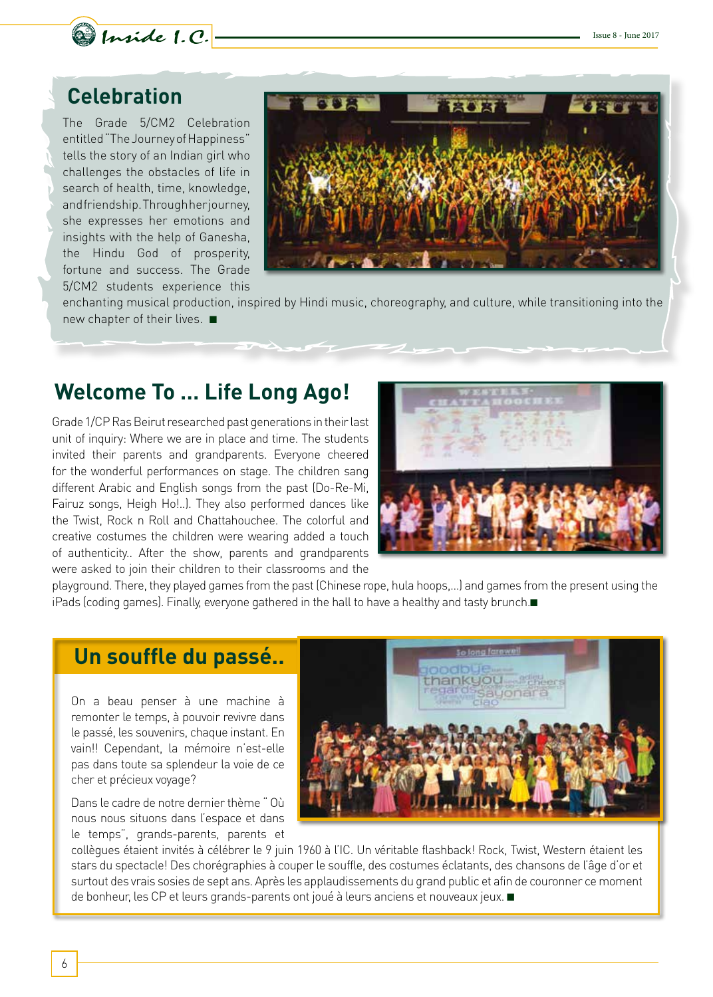

## **Celebration**

The Grade 5/CM2 Celebration entitled "The Journey of Happiness" tells the story of an Indian girl who challenges the obstacles of life in search of health, time, knowledge, and friendship. Through her journey, she expresses her emotions and insights with the help of Ganesha, the Hindu God of prosperity, fortune and success. The Grade 5/CM2 students experience this



enchanting musical production, inspired by Hindi music, choreography, and culture, while transitioning into the new chapter of their lives. ■

## **Welcome To … Life Long Ago!**

Grade 1/CP Ras Beirut researched past generations in their last unit of inquiry: Where we are in place and time. The students invited their parents and grandparents. Everyone cheered for the wonderful performances on stage. The children sang different Arabic and English songs from the past (Do-Re-Mi, Fairuz songs, Heigh Ho!..). They also performed dances like the Twist, Rock n Roll and Chattahouchee. The colorful and creative costumes the children were wearing added a touch of authenticity.. After the show, parents and grandparents were asked to join their children to their classrooms and the



playground. There, they played games from the past (Chinese rope, hula hoops,…) and games from the present using the iPads (coding games). Finally, everyone gathered in the hall to have a healthy and tasty brunch.■

### **Un souffle du passé..**

On a beau penser à une machine à remonter le temps, à pouvoir revivre dans le passé, les souvenirs, chaque instant. En vain!! Cependant, la mémoire n'est-elle pas dans toute sa splendeur la voie de ce cher et précieux voyage?

Dans le cadre de notre dernier thème " Où nous nous situons dans l'espace et dans le temps", grands-parents, parents et



collègues étaient invités à célébrer le 9 juin 1960 à l'IC. Un véritable flashback! Rock, Twist, Western étaient les stars du spectacle! Des chorégraphies à couper le souffle, des costumes éclatants, des chansons de l'âge d'or et surtout des vrais sosies de sept ans. Après les applaudissements du grand public et afin de couronner ce moment de bonheur, les CP et leurs grands-parents ont joué à leurs anciens et nouveaux jeux. ■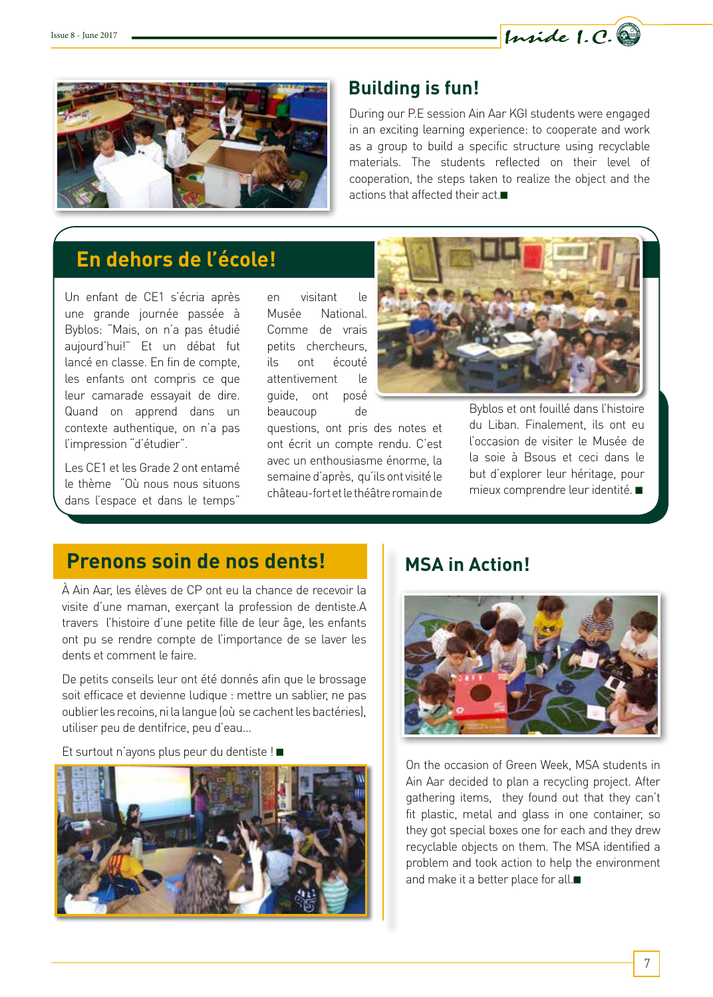



### **Building is fun!**

During our P.E session Ain Aar KGI students were engaged in an exciting learning experience: to cooperate and work as a group to build a specific structure using recyclable materials. The students reflected on their level of cooperation, the steps taken to realize the object and the actions that affected their act.■

## **En dehors de l'école!**

Un enfant de CE1 s'écria après une grande journée passée à Byblos: "Mais, on n'a pas étudié aujourd'hui!" Et un débat fut lancé en classe. En fin de compte, les enfants ont compris ce que leur camarade essayait de dire. Quand on apprend dans un contexte authentique, on n'a pas l'impression "d'étudier".

Les CE1 et les Grade 2 ont entamé le thème "Où nous nous situons dans l'espace et dans le temps"

en visitant le Musée National. Comme de vrais petits chercheurs, ils ont écouté attentivement le guide, ont posé beaucoup de

questions, ont pris des notes et ont écrit un compte rendu. C'est avec un enthousiasme énorme, la semaine d'après, qu'ils ont visité le château-fort et le théâtre romain de



Byblos et ont fouillé dans l'histoire du Liban. Finalement, ils ont eu l'occasion de visiter le Musée de la soie à Bsous et ceci dans le but d'explorer leur héritage, pour mieux comprendre leur identité. ■

## **Prenons soin de nos dents!**

À Ain Aar, les élèves de CP ont eu la chance de recevoir la visite d'une maman, exerçant la profession de dentiste.A travers l'histoire d'une petite fille de leur âge, les enfants ont pu se rendre compte de l'importance de se laver les dents et comment le faire.

De petits conseils leur ont été donnés afin que le brossage soit efficace et devienne ludique : mettre un sablier, ne pas oublier les recoins, ni la langue (où se cachent les bactéries), utiliser peu de dentifrice, peu d'eau…

Et surtout n'ayons plus peur du dentiste ! ■



### **MSA in Action!**



On the occasion of Green Week, MSA students in Ain Aar decided to plan a recycling project. After gathering items, they found out that they can't fit plastic, metal and glass in one container, so they got special boxes one for each and they drew recyclable objects on them. The MSA identified a problem and took action to help the environment and make it a better place for all.■